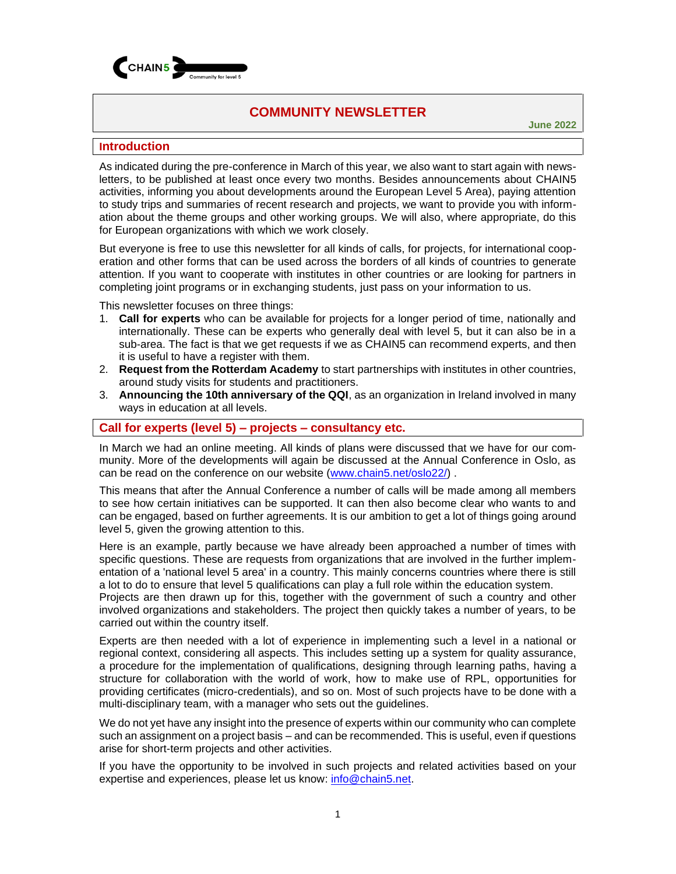

# **COMMUNITY NEWSLETTER**

**June 2022**

### **Introduction**

As indicated during the pre-conference in March of this year, we also want to start again with newsletters, to be published at least once every two months. Besides announcements about CHAIN5 activities, informing you about developments around the European Level 5 Area), paying attention to study trips and summaries of recent research and projects, we want to provide you with information about the theme groups and other working groups. We will also, where appropriate, do this for European organizations with which we work closely.

But everyone is free to use this newsletter for all kinds of calls, for projects, for international cooperation and other forms that can be used across the borders of all kinds of countries to generate attention. If you want to cooperate with institutes in other countries or are looking for partners in completing joint programs or in exchanging students, just pass on your information to us.

This newsletter focuses on three things:

- 1. **Call for experts** who can be available for projects for a longer period of time, nationally and internationally. These can be experts who generally deal with level 5, but it can also be in a sub-area. The fact is that we get requests if we as CHAIN5 can recommend experts, and then it is useful to have a register with them.
- 2. **Request from the Rotterdam Academy** to start partnerships with institutes in other countries, around study visits for students and practitioners.
- 3. **Announcing the 10th anniversary of the QQI**, as an organization in Ireland involved in many ways in education at all levels.

## **Call for experts (level 5) – projects – consultancy etc.**

In March we had an online meeting. All kinds of plans were discussed that we have for our community. More of the developments will again be discussed at the Annual Conference in Oslo, as can be read on the conference on our website [\(www.chain5.net/oslo22/\)](http://www.chain5.net/oslo22/).

This means that after the Annual Conference a number of calls will be made among all members to see how certain initiatives can be supported. It can then also become clear who wants to and can be engaged, based on further agreements. It is our ambition to get a lot of things going around level 5, given the growing attention to this.

Here is an example, partly because we have already been approached a number of times with specific questions. These are requests from organizations that are involved in the further implementation of a 'national level 5 area' in a country. This mainly concerns countries where there is still a lot to do to ensure that level 5 qualifications can play a full role within the education system.

Projects are then drawn up for this, together with the government of such a country and other involved organizations and stakeholders. The project then quickly takes a number of years, to be carried out within the country itself.

Experts are then needed with a lot of experience in implementing such a level in a national or regional context, considering all aspects. This includes setting up a system for quality assurance, a procedure for the implementation of qualifications, designing through learning paths, having a structure for collaboration with the world of work, how to make use of RPL, opportunities for providing certificates (micro-credentials), and so on. Most of such projects have to be done with a multi-disciplinary team, with a manager who sets out the guidelines.

We do not yet have any insight into the presence of experts within our community who can complete such an assignment on a project basis – and can be recommended. This is useful, even if questions arise for short-term projects and other activities.

If you have the opportunity to be involved in such projects and related activities based on your expertise and experiences, please let us know: [info@chain5.net.](mailto:info@chain5.net)